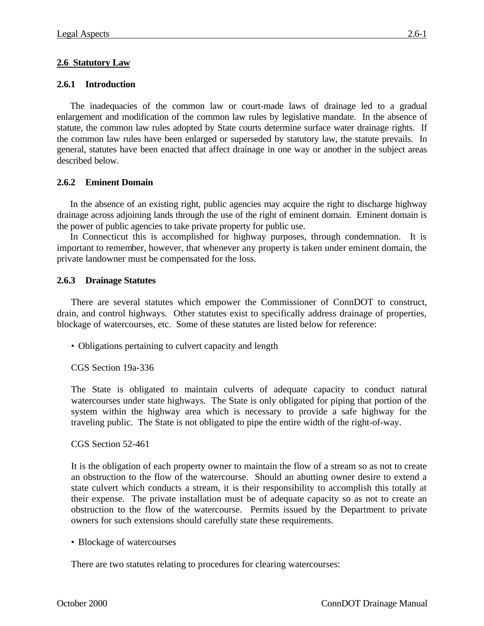## **2.6 Statutory Law**

#### **2.6.1 Introduction**

The inadequacies of the common law or court-made laws of drainage led to a gradual enlargement and modification of the common law rules by legislative mandate. In the absence of statute, the common law rules adopted by State courts determine surface water drainage rights. If the common law rules have been enlarged or superseded by statutory law, the statute prevails. In general, statutes have been enacted that affect drainage in one way or another in the subject areas described below.

#### **2.6.2 Eminent Domain**

In the absence of an existing right, public agencies may acquire the right to discharge highway drainage across adjoining lands through the use of the right of eminent domain. Eminent domain is the power of public agencies to take private property for public use.

In Connecticut this is accomplished for highway purposes, through condemnation. It is important to remember, however, that whenever any property is taken under eminent domain, the private landowner must be compensated for the loss.

#### **2.6.3 Drainage Statutes**

There are several statutes which empower the Commissioner of ConnDOT to construct, drain, and control highways. Other statutes exist to specifically address drainage of properties, blockage of watercourses, etc. Some of these statutes are listed below for reference:

• Obligations pertaining to culvert capacity and length

CGS Section 19a-336

The State is obligated to maintain culverts of adequate capacity to conduct natural watercourses under state highways. The State is only obligated for piping that portion of the system within the highway area which is necessary to provide a safe highway for the traveling public. The State is not obligated to pipe the entire width of the right-of-way.

#### CGS Section 52-461

It is the obligation of each property owner to maintain the flow of a stream so as not to create an obstruction to the flow of the watercourse. Should an abutting owner desire to extend a state culvert which conducts a stream, it is their responsibility to accomplish this totally at their expense. The private installation must be of adequate capacity so as not to create an obstruction to the flow of the watercourse. Permits issued by the Department to private owners for such extensions should carefully state these requirements.

• Blockage of watercourses

There are two statutes relating to procedures for clearing watercourses: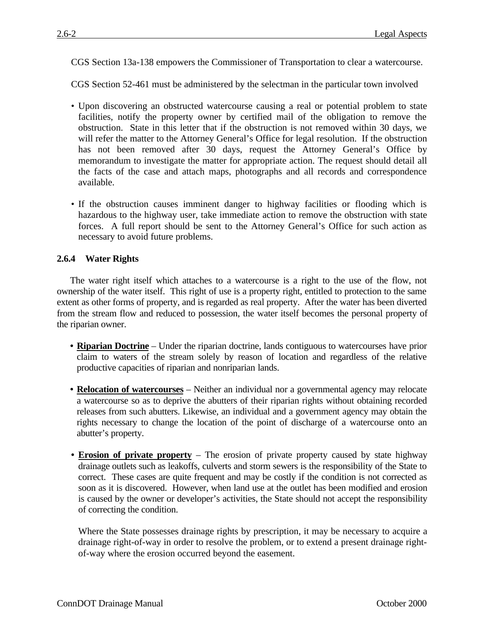CGS Section 13a-138 empowers the Commissioner of Transportation to clear a watercourse.

CGS Section 52-461 must be administered by the selectman in the particular town involved

- Upon discovering an obstructed watercourse causing a real or potential problem to state facilities, notify the property owner by certified mail of the obligation to remove the obstruction. State in this letter that if the obstruction is not removed within 30 days, we will refer the matter to the Attorney General's Office for legal resolution. If the obstruction has not been removed after 30 days, request the Attorney General's Office by memorandum to investigate the matter for appropriate action. The request should detail all the facts of the case and attach maps, photographs and all records and correspondence available.
- If the obstruction causes imminent danger to highway facilities or flooding which is hazardous to the highway user, take immediate action to remove the obstruction with state forces. A full report should be sent to the Attorney General's Office for such action as necessary to avoid future problems.

## **2.6.4 Water Rights**

The water right itself which attaches to a watercourse is a right to the use of the flow, not ownership of the water itself. This right of use is a property right, entitled to protection to the same extent as other forms of property, and is regarded as real property. After the water has been diverted from the stream flow and reduced to possession, the water itself becomes the personal property of the riparian owner.

- **• Riparian Doctrine** Under the riparian doctrine, lands contiguous to watercourses have prior claim to waters of the stream solely by reason of location and regardless of the relative productive capacities of riparian and nonriparian lands.
- **• Relocation of watercourses** Neither an individual nor a governmental agency may relocate a watercourse so as to deprive the abutters of their riparian rights without obtaining recorded releases from such abutters. Likewise, an individual and a government agency may obtain the rights necessary to change the location of the point of discharge of a watercourse onto an abutter's property.
- **Erosion of private property** The erosion of private property caused by state highway drainage outlets such as leakoffs, culverts and storm sewers is the responsibility of the State to correct. These cases are quite frequent and may be costly if the condition is not corrected as soon as it is discovered. However, when land use at the outlet has been modified and erosion is caused by the owner or developer's activities, the State should not accept the responsibility of correcting the condition.

Where the State possesses drainage rights by prescription, it may be necessary to acquire a drainage right-of-way in order to resolve the problem, or to extend a present drainage rightof-way where the erosion occurred beyond the easement.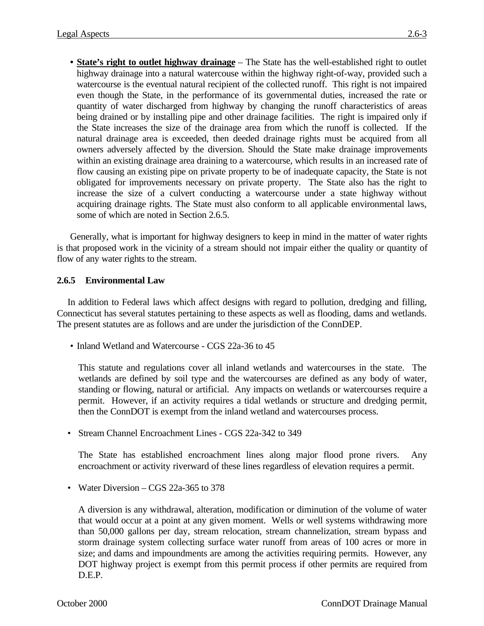**• State's right to outlet highway drainage** – The State has the well-established right to outlet highway drainage into a natural watercouse within the highway right-of-way, provided such a watercourse is the eventual natural recipient of the collected runoff. This right is not impaired even though the State, in the performance of its governmental duties, increased the rate or quantity of water discharged from highway by changing the runoff characteristics of areas being drained or by installing pipe and other drainage facilities. The right is impaired only if the State increases the size of the drainage area from which the runoff is collected. If the natural drainage area is exceeded, then deeded drainage rights must be acquired from all owners adversely affected by the diversion. Should the State make drainage improvements within an existing drainage area draining to a watercourse, which results in an increased rate of flow causing an existing pipe on private property to be of inadequate capacity, the State is not obligated for improvements necessary on private property. The State also has the right to increase the size of a culvert conducting a watercourse under a state highway without acquiring drainage rights. The State must also conform to all applicable environmental laws, some of which are noted in Section 2.6.5.

Generally, what is important for highway designers to keep in mind in the matter of water rights is that proposed work in the vicinity of a stream should not impair either the quality or quantity of flow of any water rights to the stream.

# **2.6.5 Environmental Law**

In addition to Federal laws which affect designs with regard to pollution, dredging and filling, Connecticut has several statutes pertaining to these aspects as well as flooding, dams and wetlands. The present statutes are as follows and are under the jurisdiction of the ConnDEP.

• Inland Wetland and Watercourse - CGS 22a-36 to 45

This statute and regulations cover all inland wetlands and watercourses in the state. The wetlands are defined by soil type and the watercourses are defined as any body of water, standing or flowing, natural or artificial. Any impacts on wetlands or watercourses require a permit. However, if an activity requires a tidal wetlands or structure and dredging permit, then the ConnDOT is exempt from the inland wetland and watercourses process.

• Stream Channel Encroachment Lines - CGS 22a-342 to 349

The State has established encroachment lines along major flood prone rivers. Any encroachment or activity riverward of these lines regardless of elevation requires a permit.

• Water Diversion – CGS 22a-365 to 378

A diversion is any withdrawal, alteration, modification or diminution of the volume of water that would occur at a point at any given moment. Wells or well systems withdrawing more than 50,000 gallons per day, stream relocation, stream channelization, stream bypass and storm drainage system collecting surface water runoff from areas of 100 acres or more in size; and dams and impoundments are among the activities requiring permits. However, any DOT highway project is exempt from this permit process if other permits are required from D.E.P.